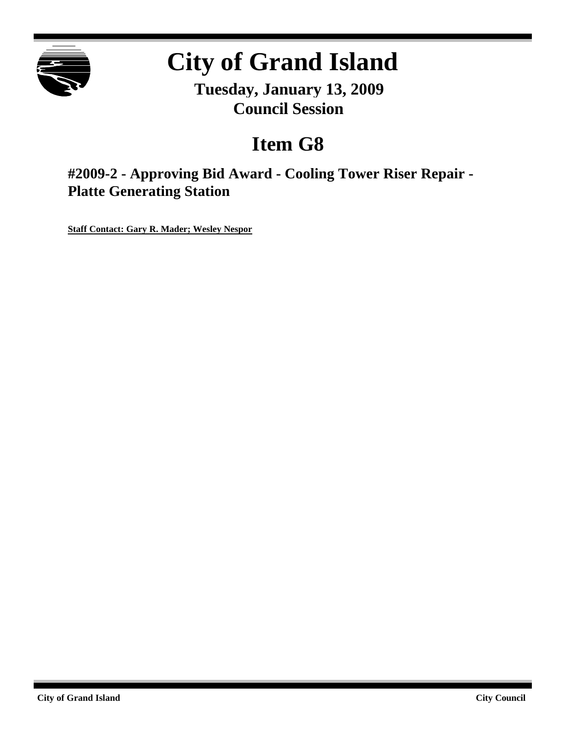

# **City of Grand Island**

**Tuesday, January 13, 2009 Council Session**

## **Item G8**

**#2009-2 - Approving Bid Award - Cooling Tower Riser Repair - Platte Generating Station**

**Staff Contact: Gary R. Mader; Wesley Nespor**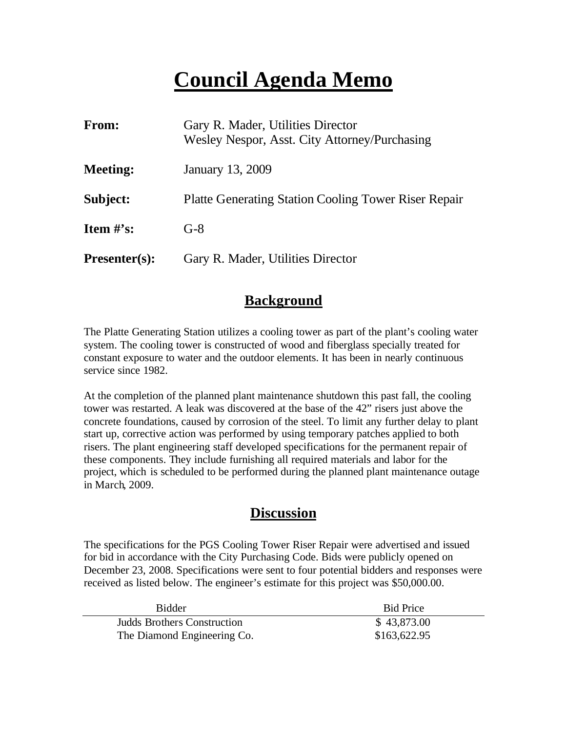## **Council Agenda Memo**

| From:                | Gary R. Mader, Utilities Director<br>Wesley Nespor, Asst. City Attorney/Purchasing |
|----------------------|------------------------------------------------------------------------------------|
| <b>Meeting:</b>      | January 13, 2009                                                                   |
| Subject:             | <b>Platte Generating Station Cooling Tower Riser Repair</b>                        |
| Item $#$ 's:         | $G-8$                                                                              |
| <b>Presenter(s):</b> | Gary R. Mader, Utilities Director                                                  |

### **Background**

The Platte Generating Station utilizes a cooling tower as part of the plant's cooling water system. The cooling tower is constructed of wood and fiberglass specially treated for constant exposure to water and the outdoor elements. It has been in nearly continuous service since 1982.

At the completion of the planned plant maintenance shutdown this past fall, the cooling tower was restarted. A leak was discovered at the base of the 42" risers just above the concrete foundations, caused by corrosion of the steel. To limit any further delay to plant start up, corrective action was performed by using temporary patches applied to both risers. The plant engineering staff developed specifications for the permanent repair of these components. They include furnishing all required materials and labor for the project, which is scheduled to be performed during the planned plant maintenance outage in March, 2009.

### **Discussion**

The specifications for the PGS Cooling Tower Riser Repair were advertised and issued for bid in accordance with the City Purchasing Code. Bids were publicly opened on December 23, 2008. Specifications were sent to four potential bidders and responses were received as listed below. The engineer's estimate for this project was \$50,000.00.

| <b>Bidder</b>               | <b>Bid Price</b> |
|-----------------------------|------------------|
| Judds Brothers Construction | \$43,873.00      |
| The Diamond Engineering Co. | \$163,622.95     |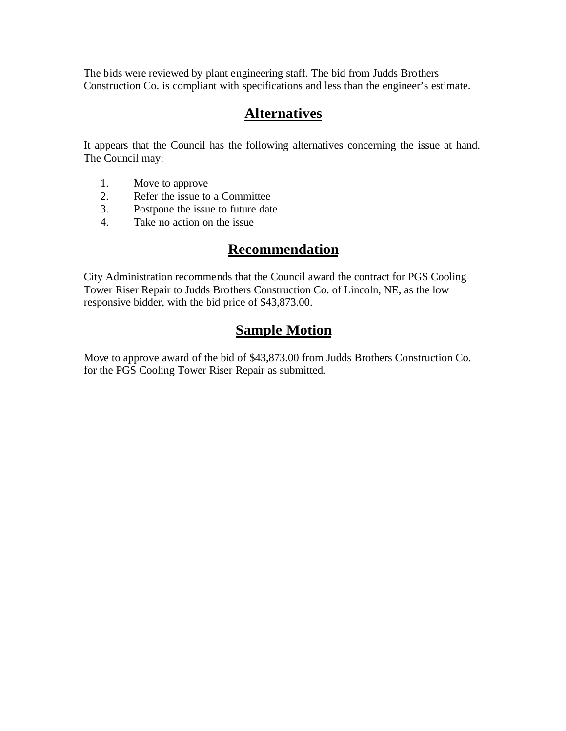The bids were reviewed by plant engineering staff. The bid from Judds Brothers Construction Co. is compliant with specifications and less than the engineer's estimate.

### **Alternatives**

It appears that the Council has the following alternatives concerning the issue at hand. The Council may:

- 1. Move to approve
- 2. Refer the issue to a Committee<br>3. Postpone the issue to future date
- Postpone the issue to future date
- 4. Take no action on the issue

## **Recommendation**

City Administration recommends that the Council award the contract for PGS Cooling Tower Riser Repair to Judds Brothers Construction Co. of Lincoln, NE, as the low responsive bidder, with the bid price of \$43,873.00.

## **Sample Motion**

Move to approve award of the bid of \$43,873.00 from Judds Brothers Construction Co. for the PGS Cooling Tower Riser Repair as submitted.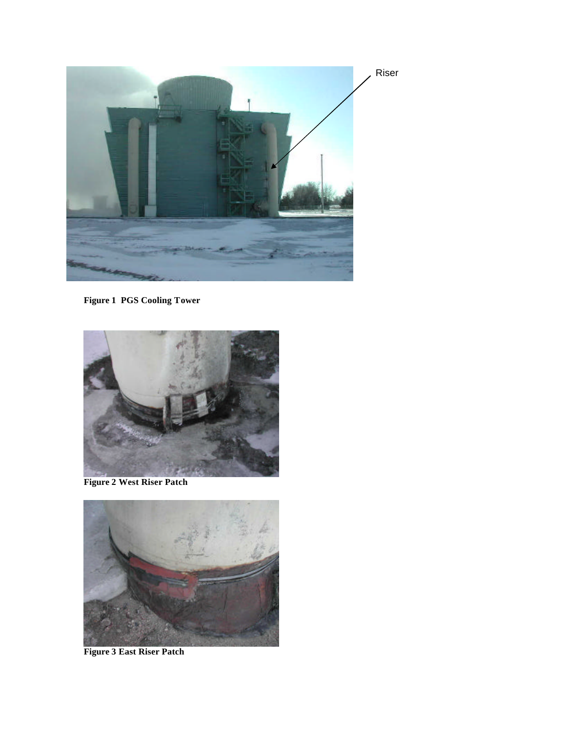

**Figure 1 PGS Cooling Tower**



**Figure 2 West Riser Patch**



**Figure 3 East Riser Patch**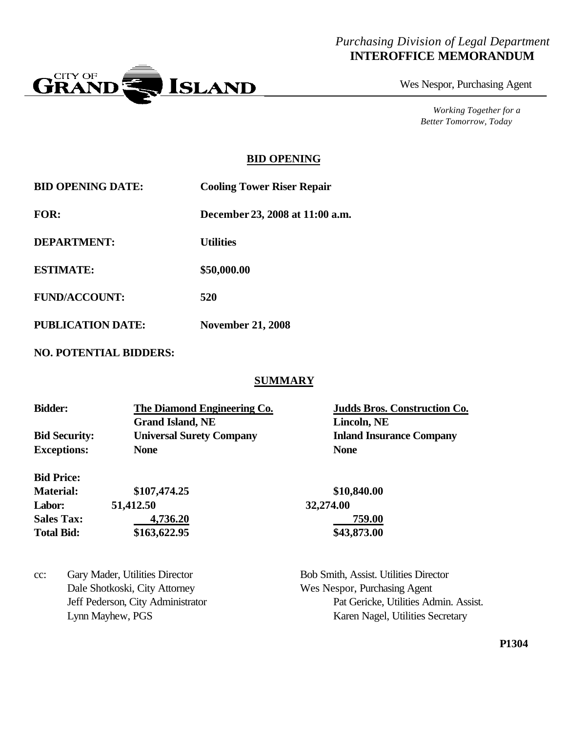#### *Purchasing Division of Legal Department* **INTEROFFICE MEMORANDUM**



Wes Nespor, Purchasing Agent

*Working Together for a Better Tomorrow, Today*

#### **BID OPENING**

**BID OPENING DATE: Cooling Tower Riser Repair FOR: December 23, 2008 at 11:00 a.m.**

**DEPARTMENT: Utilities**

**ESTIMATE: \$50,000.00**

**FUND/ACCOUNT: 520**

**PUBLICATION DATE: November 21, 2008**

**NO. POTENTIAL BIDDERS:**

#### **SUMMARY**

| <b>Bidder:</b>       | The Diamond Engineering Co.     | <b>Judds Bros. Construction Co.</b> |  |
|----------------------|---------------------------------|-------------------------------------|--|
|                      | <b>Grand Island, NE</b>         | Lincoln, NE                         |  |
| <b>Bid Security:</b> | <b>Universal Surety Company</b> | <b>Inland Insurance Company</b>     |  |
| <b>Exceptions:</b>   | <b>None</b>                     | <b>None</b>                         |  |
| <b>Bid Price:</b>    |                                 |                                     |  |
| <b>Material:</b>     | \$107,474.25                    | \$10,840.00                         |  |
| Labor:               | 51,412.50                       | 32,274.00                           |  |

| <b>Sales Tax:</b> | 4,736.20     | 759.00      |
|-------------------|--------------|-------------|
| <b>Total Bid:</b> | \$163,622.95 | \$43,873.00 |

cc: Gary Mader, Utilities Director Bob Smith, Assist. Utilities Director Dale Shotkoski, City Attorney Wes Nespor, Purchasing Agent

Jeff Pederson, City Administrator Pat Gericke, Utilities Admin. Assist. Lynn Mayhew, PGS Karen Nagel, Utilities Secretary